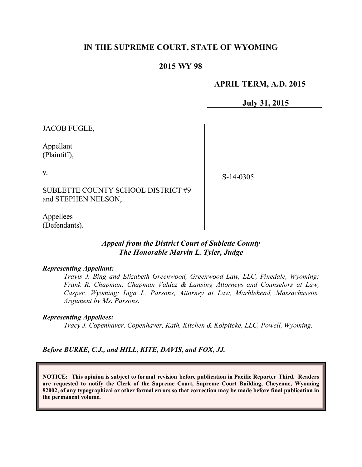### **IN THE SUPREME COURT, STATE OF WYOMING**

### **2015 WY 98**

### **APRIL TERM, A.D. 2015**

**July 31, 2015**

JACOB FUGLE,

Appellant (Plaintiff),

v.

S-14-0305

SUBLETTE COUNTY SCHOOL DISTRICT #9 and STEPHEN NELSON,

Appellees (Defendants).

### *Appeal from the District Court of Sublette County The Honorable Marvin L. Tyler, Judge*

#### *Representing Appellant:*

*Travis J. Bing and Elizabeth Greenwood, Greenwood Law, LLC, Pinedale, Wyoming; Frank R. Chapman, Chapman Valdez & Lansing Attorneys and Counselors at Law, Casper, Wyoming; Inga L. Parsons, Attorney at Law, Marblehead, Massachusetts. Argument by Ms. Parsons.*

#### *Representing Appellees:*

*Tracy J. Copenhaver, Copenhaver, Kath, Kitchen & Kolpitcke, LLC, Powell, Wyoming.*

*Before BURKE, C.J., and HILL, KITE, DAVIS, and FOX, JJ.*

**NOTICE: This opinion is subject to formal revision before publication in Pacific Reporter Third. Readers are requested to notify the Clerk of the Supreme Court, Supreme Court Building, Cheyenne, Wyoming 82002, of any typographical or other formal errors so that correction may be made before final publication in the permanent volume.**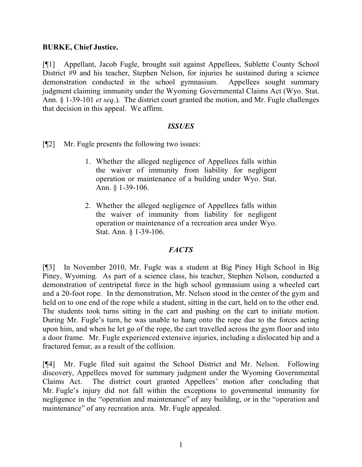## **BURKE, Chief Justice.**

[¶1] Appellant, Jacob Fugle, brought suit against Appellees, Sublette County School District #9 and his teacher, Stephen Nelson, for injuries he sustained during a science demonstration conducted in the school gymnasium. Appellees sought summary judgment claiming immunity under the Wyoming Governmental Claims Act (Wyo. Stat. Ann. § 1-39-101 *et seq*.). The district court granted the motion, and Mr. Fugle challenges that decision in this appeal. We affirm.

### *ISSUES*

[¶2] Mr. Fugle presents the following two issues:

- 1. Whether the alleged negligence of Appellees falls within the waiver of immunity from liability for negligent operation or maintenance of a building under Wyo. Stat. Ann. § 1-39-106.
- 2. Whether the alleged negligence of Appellees falls within the waiver of immunity from liability for negligent operation or maintenance of a recreation area under Wyo. Stat. Ann. § 1-39-106.

# *FACTS*

[¶3] In November 2010, Mr. Fugle was a student at Big Piney High School in Big Piney, Wyoming. As part of a science class, his teacher, Stephen Nelson, conducted a demonstration of centripetal force in the high school gymnasium using a wheeled cart and a 20-foot rope. In the demonstration, Mr. Nelson stood in the center of the gym and held on to one end of the rope while a student, sitting in the cart, held on to the other end. The students took turns sitting in the cart and pushing on the cart to initiate motion. During Mr. Fugle's turn, he was unable to hang onto the rope due to the forces acting upon him, and when he let go of the rope, the cart travelled across the gym floor and into a door frame. Mr. Fugle experienced extensive injuries, including a dislocated hip and a fractured femur, as a result of the collision.

[¶4] Mr. Fugle filed suit against the School District and Mr. Nelson. Following discovery, Appellees moved for summary judgment under the Wyoming Governmental Claims Act. The district court granted Appellees' motion after concluding that Mr. Fugle's injury did not fall within the exceptions to governmental immunity for negligence in the "operation and maintenance" of any building, or in the "operation and maintenance" of any recreation area. Mr. Fugle appealed.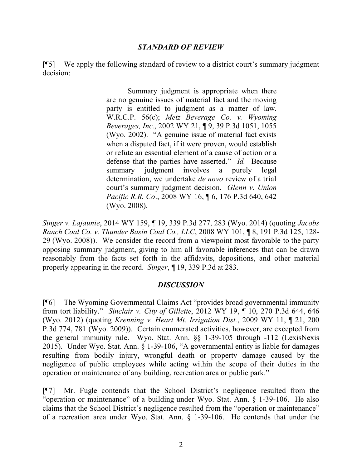### *STANDARD OF REVIEW*

[¶5] We apply the following standard of review to a district court's summary judgment decision:

> Summary judgment is appropriate when there are no genuine issues of material fact and the moving party is entitled to judgment as a matter of law. W.R.C.P. 56(c); *Metz Beverage Co. v. Wyoming Beverages, Inc.*, 2002 WY 21, ¶ 9, 39 P.3d 1051, 1055 (Wyo. 2002). "A genuine issue of material fact exists when a disputed fact, if it were proven, would establish or refute an essential element of a cause of action or a defense that the parties have asserted." *Id.* Because summary judgment involves a purely legal determination, we undertake *de novo* review of a trial court's summary judgment decision. *Glenn v. Union Pacific R.R. Co*., 2008 WY 16, ¶ 6, 176 P.3d 640, 642 (Wyo. 2008).

*Singer v. Lajaunie*, 2014 WY 159, ¶ 19, 339 P.3d 277, 283 (Wyo. 2014) (quoting *Jacobs Ranch Coal Co. v. Thunder Basin Coal Co., LLC*, 2008 WY 101, ¶ 8, 191 P.3d 125, 128- 29 (Wyo. 2008)). We consider the record from a viewpoint most favorable to the party opposing summary judgment, giving to him all favorable inferences that can be drawn reasonably from the facts set forth in the affidavits, depositions, and other material properly appearing in the record. *Singer*, ¶ 19, 339 P.3d at 283.

### *DISCUSSION*

[¶6] The Wyoming Governmental Claims Act "provides broad governmental immunity from tort liability." *Sinclair v. City of Gillette*, 2012 WY 19, ¶ 10, 270 P.3d 644, 646 (Wyo. 2012) (quoting *Krenning v. Heart Mt. Irrigation Dist.*, 2009 WY 11, ¶ 21, 200 P.3d 774, 781 (Wyo. 2009)). Certain enumerated activities, however, are excepted from the general immunity rule. Wyo. Stat. Ann. §§ 1-39-105 through -112 (LexisNexis 2015). Under Wyo. Stat. Ann. § 1-39-106, "A governmental entity is liable for damages resulting from bodily injury, wrongful death or property damage caused by the negligence of public employees while acting within the scope of their duties in the operation or maintenance of any building, recreation area or public park."

[¶7] Mr. Fugle contends that the School District's negligence resulted from the "operation or maintenance" of a building under Wyo. Stat. Ann. § 1-39-106. He also claims that the School District's negligence resulted from the "operation or maintenance" of a recreation area under Wyo. Stat. Ann. § 1-39-106. He contends that under the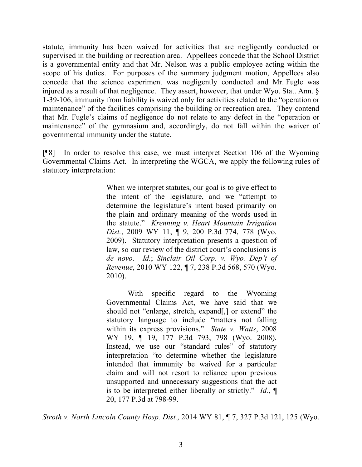statute, immunity has been waived for activities that are negligently conducted or supervised in the building or recreation area. Appellees concede that the School District is a governmental entity and that Mr. Nelson was a public employee acting within the scope of his duties. For purposes of the summary judgment motion, Appellees also concede that the science experiment was negligently conducted and Mr. Fugle was injured as a result of that negligence. They assert, however, that under Wyo. Stat. Ann. § 1-39-106, immunity from liability is waived only for activities related to the "operation or maintenance" of the facilities comprising the building or recreation area. They contend that Mr. Fugle's claims of negligence do not relate to any defect in the "operation or maintenance" of the gymnasium and, accordingly, do not fall within the waiver of governmental immunity under the statute.

[¶8] In order to resolve this case, we must interpret Section 106 of the Wyoming Governmental Claims Act. In interpreting the WGCA, we apply the following rules of statutory interpretation:

> When we interpret statutes, our goal is to give effect to the intent of the legislature, and we "attempt to determine the legislature's intent based primarily on the plain and ordinary meaning of the words used in the statute." *Krenning v. Heart Mountain Irrigation Dist.*, 2009 WY 11, ¶ 9, 200 P.3d 774, 778 (Wyo. 2009). Statutory interpretation presents a question of law, so our review of the district court's conclusions is *de novo*. *Id.*; *Sinclair Oil Corp. v. Wyo. Dep't of Revenue*, 2010 WY 122, ¶ 7, 238 P.3d 568, 570 (Wyo. 2010).

> With specific regard to the Wyoming Governmental Claims Act, we have said that we should not "enlarge, stretch, expand[,] or extend" the statutory language to include "matters not falling within its express provisions." *State v. Watts*, 2008 WY 19, ¶ 19, 177 P.3d 793, 798 (Wyo. 2008). Instead, we use our "standard rules" of statutory interpretation "to determine whether the legislature intended that immunity be waived for a particular claim and will not resort to reliance upon previous unsupported and unnecessary suggestions that the act is to be interpreted either liberally or strictly." *Id.*, ¶ 20, 177 P.3d at 798-99.

*Stroth v. North Lincoln County Hosp. Dist.*, 2014 WY 81, ¶ 7, 327 P.3d 121, 125 (Wyo.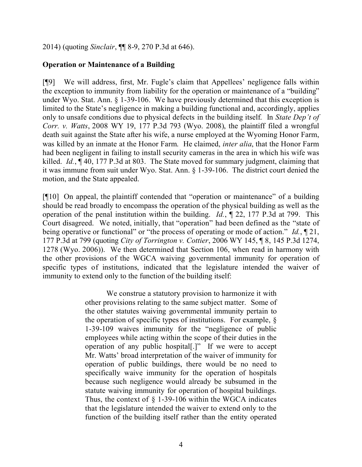## 2014) (quoting *Sinclair*, ¶¶ 8-9, 270 P.3d at 646).

## **Operation or Maintenance of a Building**

[¶9] We will address, first, Mr. Fugle's claim that Appellees' negligence falls within the exception to immunity from liability for the operation or maintenance of a "building" under Wyo. Stat. Ann. § 1-39-106. We have previously determined that this exception is limited to the State's negligence in making a building functional and, accordingly, applies only to unsafe conditions due to physical defects in the building itself. In *State Dep't of Corr. v. Watts*, 2008 WY 19, 177 P.3d 793 (Wyo. 2008), the plaintiff filed a wrongful death suit against the State after his wife, a nurse employed at the Wyoming Honor Farm, was killed by an inmate at the Honor Farm. He claimed, *inter alia*, that the Honor Farm had been negligent in failing to install security cameras in the area in which his wife was killed. *Id.*, ¶ 40, 177 P.3d at 803. The State moved for summary judgment, claiming that it was immune from suit under Wyo. Stat. Ann. § 1-39-106. The district court denied the motion, and the State appealed.

[¶10] On appeal, the plaintiff contended that "operation or maintenance" of a building should be read broadly to encompass the operation of the physical building as well as the operation of the penal institution within the building. *Id.*, ¶ 22, 177 P.3d at 799. This Court disagreed. We noted, initially, that "operation" had been defined as the "state of being operative or functional" or "the process of operating or mode of action." *Id.*, ¶ 21, 177 P.3d at 799 (quoting *City of Torrington v. Cottier*, 2006 WY 145, ¶ 8, 145 P.3d 1274, 1278 (Wyo. 2006)). We then determined that Section 106, when read in harmony with the other provisions of the WGCA waiving governmental immunity for operation of specific types of institutions, indicated that the legislature intended the waiver of immunity to extend only to the function of the building itself:

> We construe a statutory provision to harmonize it with other provisions relating to the same subject matter. Some of the other statutes waiving governmental immunity pertain to the operation of specific types of institutions. For example, § 1-39-109 waives immunity for the "negligence of public employees while acting within the scope of their duties in the operation of any public hospital[.]" If we were to accept Mr. Watts' broad interpretation of the waiver of immunity for operation of public buildings, there would be no need to specifically waive immunity for the operation of hospitals because such negligence would already be subsumed in the statute waiving immunity for operation of hospital buildings. Thus, the context of  $\S$  1-39-106 within the WGCA indicates that the legislature intended the waiver to extend only to the function of the building itself rather than the entity operated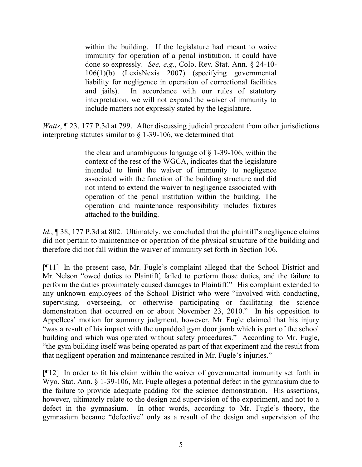within the building. If the legislature had meant to waive immunity for operation of a penal institution, it could have done so expressly. *See, e.g.*, Colo. Rev. Stat. Ann. § 24-10- 106(1)(b) (LexisNexis 2007) (specifying governmental liability for negligence in operation of correctional facilities and jails). In accordance with our rules of statutory interpretation, we will not expand the waiver of immunity to include matters not expressly stated by the legislature.

*Watts*, 123, 177 P.3d at 799. After discussing judicial precedent from other jurisdictions interpreting statutes similar to § 1-39-106, we determined that

> the clear and unambiguous language of § 1-39-106, within the context of the rest of the WGCA, indicates that the legislature intended to limit the waiver of immunity to negligence associated with the function of the building structure and did not intend to extend the waiver to negligence associated with operation of the penal institution within the building. The operation and maintenance responsibility includes fixtures attached to the building.

*Id.*, 138, 177 P.3d at 802. Ultimately, we concluded that the plaintiff's negligence claims did not pertain to maintenance or operation of the physical structure of the building and therefore did not fall within the waiver of immunity set forth in Section 106.

[¶11] In the present case, Mr. Fugle's complaint alleged that the School District and Mr. Nelson "owed duties to Plaintiff, failed to perform those duties, and the failure to perform the duties proximately caused damages to Plaintiff." His complaint extended to any unknown employees of the School District who were "involved with conducting, supervising, overseeing, or otherwise participating or facilitating the science demonstration that occurred on or about November 23, 2010." In his opposition to Appellees' motion for summary judgment, however, Mr. Fugle claimed that his injury "was a result of his impact with the unpadded gym door jamb which is part of the school building and which was operated without safety procedures." According to Mr. Fugle, "the gym building itself was being operated as part of that experiment and the result from that negligent operation and maintenance resulted in Mr. Fugle's injuries."

[¶12] In order to fit his claim within the waiver of governmental immunity set forth in Wyo. Stat. Ann. § 1-39-106, Mr. Fugle alleges a potential defect in the gymnasium due to the failure to provide adequate padding for the science demonstration. His assertions, however, ultimately relate to the design and supervision of the experiment, and not to a defect in the gymnasium. In other words, according to Mr. Fugle's theory, the gymnasium became "defective" only as a result of the design and supervision of the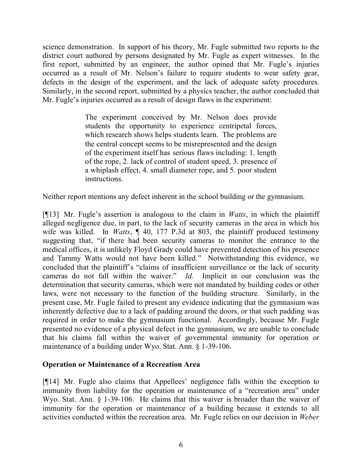science demonstration. In support of his theory, Mr. Fugle submitted two reports to the district court authored by persons designated by Mr. Fugle as expert witnesses. In the first report, submitted by an engineer, the author opined that Mr. Fugle's injuries occurred as a result of Mr. Nelson's failure to require students to wear safety gear, defects in the design of the experiment, and the lack of adequate safety procedures. Similarly, in the second report, submitted by a physics teacher, the author concluded that Mr. Fugle's injuries occurred as a result of design flaws in the experiment:

> The experiment conceived by Mr. Nelson does provide students the opportunity to experience centripetal forces, which research shows helps students learn. The problems are the central concept seems to be misrepresented and the design of the experiment itself has serious flaws including: 1. length of the rope, 2. lack of control of student speed, 3. presence of a whiplash effect, 4. small diameter rope, and 5. poor student instructions.

Neither report mentions any defect inherent in the school building or the gymnasium.

[¶13] Mr. Fugle's assertion is analogous to the claim in *Watts*, in which the plaintiff alleged negligence due, in part, to the lack of security cameras in the area in which his wife was killed. In *Watts*, ¶ 40, 177 P.3d at 803, the plaintiff produced testimony suggesting that, "if there had been security cameras to monitor the entrance to the medical offices, it is unlikely Floyd Grady could have prevented detection of his presence and Tammy Watts would not have been killed." Notwithstanding this evidence, we concluded that the plaintiff's "claims of insufficient surveillance or the lack of security cameras do not fall within the waiver." *Id.* Implicit in our conclusion was the determination that security cameras, which were not mandated by building codes or other laws, were not necessary to the function of the building structure. Similarly, in the present case, Mr. Fugle failed to present any evidence indicating that the gymnasium was inherently defective due to a lack of padding around the doors, or that such padding was required in order to make the gymnasium functional. Accordingly, because Mr. Fugle presented no evidence of a physical defect in the gymnasium, we are unable to conclude that his claims fall within the waiver of governmental immunity for operation or maintenance of a building under Wyo. Stat. Ann. § 1-39-106.

# **Operation or Maintenance of a Recreation Area**

[¶14] Mr. Fugle also claims that Appellees' negligence falls within the exception to immunity from liability for the operation or maintenance of a "recreation area" under Wyo. Stat. Ann. § 1-39-106. He claims that this waiver is broader than the waiver of immunity for the operation or maintenance of a building because it extends to all activities conducted within the recreation area. Mr. Fugle relies on our decision in *Weber*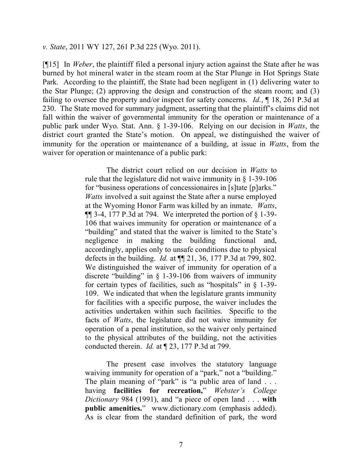*v. State*, 2011 WY 127, 261 P.3d 225 (Wyo. 2011).

[¶15] In *Weber*, the plaintiff filed a personal injury action against the State after he was burned by hot mineral water in the steam room at the Star Plunge in Hot Springs State Park. According to the plaintiff, the State had been negligent in (1) delivering water to the Star Plunge; (2) approving the design and construction of the steam room; and (3) failing to oversee the property and/or inspect for safety concerns. *Id.*, ¶ 18, 261 P.3d at 230. The State moved for summary judgment, asserting that the plaintiff's claims did not fall within the waiver of governmental immunity for the operation or maintenance of a public park under Wyo. Stat. Ann. § 1-39-106. Relying on our decision in *Watts*, the district court granted the State's motion. On appeal, we distinguished the waiver of immunity for the operation or maintenance of a building, at issue in *Watts*, from the waiver for operation or maintenance of a public park:

> The district court relied on our decision in *Watts* to rule that the legislature did not waive immunity in  $\S$  1-39-106 for "business operations of concessionaires in [s]tate [p]arks." *Watts* involved a suit against the State after a nurse employed at the Wyoming Honor Farm was killed by an inmate. *Watts*,  $\P$ [[ 3-4, 177 P.3d at 794. We interpreted the portion of  $\S$  1-39-106 that waives immunity for operation or maintenance of a "building" and stated that the waiver is limited to the State's negligence in making the building functional and, accordingly, applies only to unsafe conditions due to physical defects in the building. *Id.* at ¶¶ 21, 36, 177 P.3d at 799, 802. We distinguished the waiver of immunity for operation of a discrete "building" in  $\S$  1-39-106 from waivers of immunity for certain types of facilities, such as "hospitals" in § 1-39- 109. We indicated that when the legislature grants immunity for facilities with a specific purpose, the waiver includes the activities undertaken within such facilities. Specific to the facts of *Watts*, the legislature did not waive immunity for operation of a penal institution, so the waiver only pertained to the physical attributes of the building, not the activities conducted therein. *Id.* at ¶ 23, 177 P.3d at 799.

> The present case involves the statutory language waiving immunity for operation of a "park," not a "building." The plain meaning of "park" is "a public area of land . . . having **facilities for recreation,**" *Webster's College Dictionary* 984 (1991), and "a piece of open land . . . **with public amenities.**" www.dictionary.com (emphasis added). As is clear from the standard definition of park, the word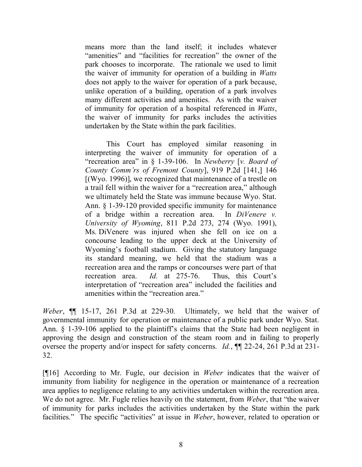means more than the land itself; it includes whatever "amenities" and "facilities for recreation" the owner of the park chooses to incorporate. The rationale we used to limit the waiver of immunity for operation of a building in *Watts* does not apply to the waiver for operation of a park because, unlike operation of a building, operation of a park involves many different activities and amenities. As with the waiver of immunity for operation of a hospital referenced in *Watts*, the waiver of immunity for parks includes the activities undertaken by the State within the park facilities.

This Court has employed similar reasoning in interpreting the waiver of immunity for operation of a "recreation area" in § 1-39-106. In *Newberry* [*v. Board of County Comm'rs of Fremont County*], 919 P.2d [141,] 146 [(Wyo. 1996)], we recognized that maintenance of a trestle on a trail fell within the waiver for a "recreation area," although we ultimately held the State was immune because Wyo. Stat. Ann. § 1-39-120 provided specific immunity for maintenance of a bridge within a recreation area. In *DiVenere v. University of Wyoming*, 811 P.2d 273, 274 (Wyo. 1991), Ms. DiVenere was injured when she fell on ice on a concourse leading to the upper deck at the University of Wyoming's football stadium. Giving the statutory language its standard meaning, we held that the stadium was a recreation area and the ramps or concourses were part of that recreation area. *Id.* at 275-76. Thus, this Court's interpretation of "recreation area" included the facilities and amenities within the "recreation area."

*Weber*, ¶¶ 15-17, 261 P.3d at 229-30. Ultimately, we held that the waiver of governmental immunity for operation or maintenance of a public park under Wyo. Stat. Ann. § 1-39-106 applied to the plaintiff's claims that the State had been negligent in approving the design and construction of the steam room and in failing to properly oversee the property and/or inspect for safety concerns. *Id.*, ¶¶ 22-24, 261 P.3d at 231- 32.

[¶16] According to Mr. Fugle, our decision in *Weber* indicates that the waiver of immunity from liability for negligence in the operation or maintenance of a recreation area applies to negligence relating to any activities undertaken within the recreation area. We do not agree. Mr. Fugle relies heavily on the statement, from *Weber*, that "the waiver of immunity for parks includes the activities undertaken by the State within the park facilities." The specific "activities" at issue in *Weber*, however, related to operation or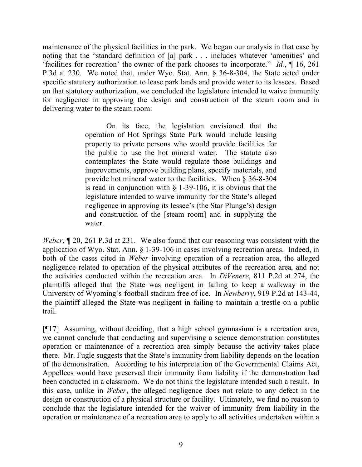maintenance of the physical facilities in the park. We began our analysis in that case by noting that the "standard definition of [a] park . . . includes whatever 'amenities' and 'facilities for recreation' the owner of the park chooses to incorporate." *Id.*, ¶ 16, 261 P.3d at 230. We noted that, under Wyo. Stat. Ann. § 36-8-304, the State acted under specific statutory authorization to lease park lands and provide water to its lessees. Based on that statutory authorization, we concluded the legislature intended to waive immunity for negligence in approving the design and construction of the steam room and in delivering water to the steam room:

> On its face, the legislation envisioned that the operation of Hot Springs State Park would include leasing property to private persons who would provide facilities for the public to use the hot mineral water. The statute also contemplates the State would regulate those buildings and improvements, approve building plans, specify materials, and provide hot mineral water to the facilities. When § 36-8-304 is read in conjunction with  $\S$  1-39-106, it is obvious that the legislature intended to waive immunity for the State's alleged negligence in approving its lessee's (the Star Plunge's) design and construction of the [steam room] and in supplying the water.

*Weber*, ¶ 20, 261 P.3d at 231. We also found that our reasoning was consistent with the application of Wyo. Stat. Ann. § 1-39-106 in cases involving recreation areas. Indeed, in both of the cases cited in *Weber* involving operation of a recreation area, the alleged negligence related to operation of the physical attributes of the recreation area, and not the activities conducted within the recreation area. In *DiVenere*, 811 P.2d at 274, the plaintiffs alleged that the State was negligent in failing to keep a walkway in the University of Wyoming's football stadium free of ice. In *Newberry*, 919 P.2d at 143-44, the plaintiff alleged the State was negligent in failing to maintain a trestle on a public trail.

[¶17] Assuming, without deciding, that a high school gymnasium is a recreation area, we cannot conclude that conducting and supervising a science demonstration constitutes operation or maintenance of a recreation area simply because the activity takes place there. Mr. Fugle suggests that the State's immunity from liability depends on the location of the demonstration. According to his interpretation of the Governmental Claims Act, Appellees would have preserved their immunity from liability if the demonstration had been conducted in a classroom. We do not think the legislature intended such a result. In this case, unlike in *Weber*, the alleged negligence does not relate to any defect in the design or construction of a physical structure or facility. Ultimately, we find no reason to conclude that the legislature intended for the waiver of immunity from liability in the operation or maintenance of a recreation area to apply to all activities undertaken within a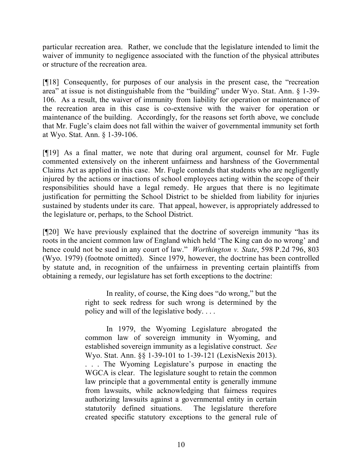particular recreation area. Rather, we conclude that the legislature intended to limit the waiver of immunity to negligence associated with the function of the physical attributes or structure of the recreation area.

[¶18] Consequently, for purposes of our analysis in the present case, the "recreation area" at issue is not distinguishable from the "building" under Wyo. Stat. Ann. § 1-39- 106. As a result, the waiver of immunity from liability for operation or maintenance of the recreation area in this case is co-extensive with the waiver for operation or maintenance of the building. Accordingly, for the reasons set forth above, we conclude that Mr. Fugle's claim does not fall within the waiver of governmental immunity set forth at Wyo. Stat. Ann. § 1-39-106.

[¶19] As a final matter, we note that during oral argument, counsel for Mr. Fugle commented extensively on the inherent unfairness and harshness of the Governmental Claims Act as applied in this case. Mr. Fugle contends that students who are negligently injured by the actions or inactions of school employees acting within the scope of their responsibilities should have a legal remedy. He argues that there is no legitimate justification for permitting the School District to be shielded from liability for injuries sustained by students under its care. That appeal, however, is appropriately addressed to the legislature or, perhaps, to the School District.

[¶20] We have previously explained that the doctrine of sovereign immunity "has its roots in the ancient common law of England which held 'The King can do no wrong' and hence could not be sued in any court of law." *Worthington v. State*, 598 P.2d 796, 803 (Wyo. 1979) (footnote omitted). Since 1979, however, the doctrine has been controlled by statute and, in recognition of the unfairness in preventing certain plaintiffs from obtaining a remedy, our legislature has set forth exceptions to the doctrine:

> In reality, of course, the King does "do wrong," but the right to seek redress for such wrong is determined by the policy and will of the legislative body. . . .

> In 1979, the Wyoming Legislature abrogated the common law of sovereign immunity in Wyoming, and established sovereign immunity as a legislative construct. *See* Wyo. Stat. Ann. §§ 1-39-101 to 1-39-121 (LexisNexis 2013). . . . The Wyoming Legislature's purpose in enacting the WGCA is clear. The legislature sought to retain the common law principle that a governmental entity is generally immune from lawsuits, while acknowledging that fairness requires authorizing lawsuits against a governmental entity in certain statutorily defined situations. The legislature therefore created specific statutory exceptions to the general rule of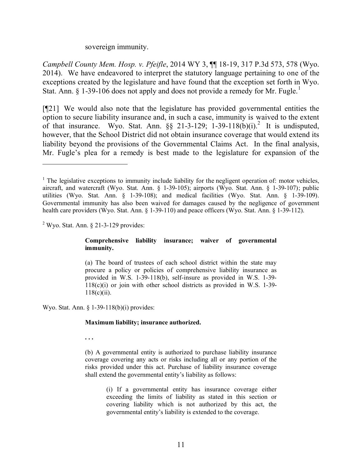#### sovereign immunity.

*Campbell County Mem. Hosp. v. Pfeifle*, 2014 WY 3, ¶¶ 18-19, 317 P.3d 573, 578 (Wyo. 2014). We have endeavored to interpret the statutory language pertaining to one of the exceptions created by the legislature and have found that the exception set forth in Wyo. Stat. Ann.  $\S$  1-39-106 does not apply and does not provide a remedy for Mr. Fugle.<sup>1</sup>

[¶21] We would also note that the legislature has provided governmental entities the option to secure liability insurance and, in such a case, immunity is waived to the extent of that insurance. Wyo. Stat. Ann.  $\S$  21-3-129; 1-39-118(b)(i).<sup>2</sup> It is undisputed, however, that the School District did not obtain insurance coverage that would extend its liability beyond the provisions of the Governmental Claims Act. In the final analysis, Mr. Fugle's plea for a remedy is best made to the legislature for expansion of the

 $2$  Wyo. Stat. Ann. § 21-3-129 provides:

#### **Comprehensive liability insurance; waiver of governmental immunity.**

(a) The board of trustees of each school district within the state may procure a policy or policies of comprehensive liability insurance as provided in W.S. 1-39-118(b), self-insure as provided in W.S. 1-39-  $118(c)(i)$  or join with other school districts as provided in W.S. 1-39- $118(c)(ii)$ .

Wyo. Stat. Ann. § 1-39-118(b)(i) provides:

#### **Maximum liability; insurance authorized.**

**. . .** 

(b) A governmental entity is authorized to purchase liability insurance coverage covering any acts or risks including all or any portion of the risks provided under this act. Purchase of liability insurance coverage shall extend the governmental entity's liability as follows:

> (i) If a governmental entity has insurance coverage either exceeding the limits of liability as stated in this section or covering liability which is not authorized by this act, the governmental entity's liability is extended to the coverage.

 $<sup>1</sup>$  The legislative exceptions to immunity include liability for the negligent operation of: motor vehicles,</sup> aircraft, and watercraft (Wyo. Stat. Ann. § 1-39-105); airports (Wyo. Stat. Ann. § 1-39-107); public utilities (Wyo. Stat. Ann. § 1-39-108); and medical facilities (Wyo. Stat. Ann. § 1-39-109). Governmental immunity has also been waived for damages caused by the negligence of government health care providers (Wyo. Stat. Ann. § 1-39-110) and peace officers (Wyo. Stat. Ann. § 1-39-112).